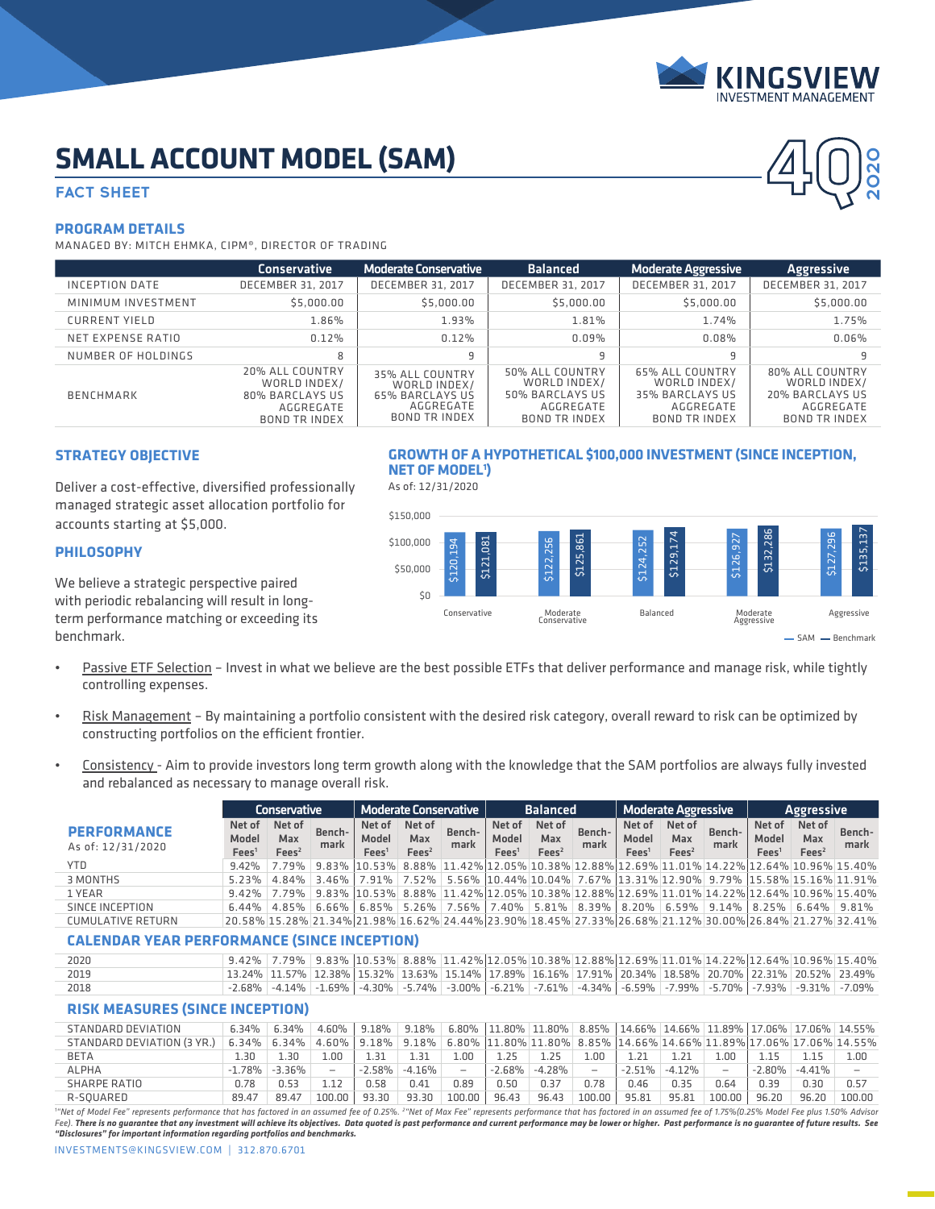

**4Q**

**2020**

# **SMALL ACCOUNT MODEL (SAM)**

# **FACT SHEET**

#### **PROGRAM DETAILS**

MANAGED BY: MITCH EHMKA, CIPM®, DIRECTOR OF TRADING

|                    | <b>Conservative</b>                                                                     | <b>Moderate Conservative</b>                                                                   | <b>Balanced</b>                                                                         | <b>Moderate Aggressive</b>                                                                     | <b>Aggressive</b>                                                                       |
|--------------------|-----------------------------------------------------------------------------------------|------------------------------------------------------------------------------------------------|-----------------------------------------------------------------------------------------|------------------------------------------------------------------------------------------------|-----------------------------------------------------------------------------------------|
| INCEPTION DATE     | <b>DECEMBER 31, 2017</b>                                                                | DECEMBER 31, 2017                                                                              | DECEMBER 31, 2017                                                                       | DECEMBER 31, 2017                                                                              | DECEMBER 31, 2017                                                                       |
| MINIMUM INVESTMENT | \$5,000.00                                                                              | \$5,000.00                                                                                     | \$5,000.00                                                                              | \$5,000.00                                                                                     | \$5,000.00                                                                              |
| CURRENT YIELD      | 1.86%                                                                                   | 1.93%                                                                                          | 1.81%                                                                                   | 1.74%                                                                                          | 1.75%                                                                                   |
| NET EXPENSE RATIO  | 0.12%                                                                                   | 0.12%                                                                                          | $0.09\%$                                                                                | 0.08%                                                                                          | 0.06%                                                                                   |
| NUMBER OF HOLDINGS | 8                                                                                       | 9                                                                                              | 9                                                                                       | 9                                                                                              | q                                                                                       |
| <b>BENCHMARK</b>   | 20% ALL COUNTRY<br>WORLD INDEX/<br>80% BARCLAYS US<br>AGGREGATE<br><b>BOND TR INDEX</b> | 35% ALL COUNTRY<br>WORLD INDEX/<br><b>65% BARCLAYS US</b><br>AGGREGATE<br><b>BOND TR INDEX</b> | 50% ALL COUNTRY<br>WORLD INDEX/<br>50% BARCLAYS US<br>AGGREGATE<br><b>BOND TR INDEX</b> | <b>65% ALL COUNTRY</b><br>WORLD INDEX/<br>35% BARCLAYS US<br>AGGREGATE<br><b>BOND TR INDEX</b> | 80% ALL COUNTRY<br>WORLD INDEX/<br>20% BARCLAYS US<br>AGGREGATE<br><b>BOND TR INDEX</b> |

# **STRATEGY OBJECTIVE**

Deliver a cost-effective, diversified professionally managed strategic asset allocation portfolio for accounts starting at \$5,000.

### **PHILOSOPHY**

We believe a strategic perspective paired with periodic rebalancing will result in longterm performance matching or exceeding its benchmark.

\$0 Conservative Moderate Balanced Moderate<br>Conservative Balanced Aggressive Aggressive

\$121,081

\$122,256 \$125,861

\$124,252

**GROWTH OF A HYPOTHETICAL \$100,000 INVESTMENT (SINCE INCEPTION,** 

\$129,174

\$126,927

\$132,286

\$127,296

\$135,137

• Passive ETF Selection – Invest in what we believe are the best possible ETFs that deliver performance and manage risk, while tightly controlling expenses.

\$120,194

**NET OF MODEL1 )** As of: 12/31/2020

\$50,000 \$100,000 \$150,000

- Risk Management By maintaining a portfolio consistent with the desired risk category, overall reward to risk can be optimized by constructing portfolios on the efficient frontier.
- Consistency Aim to provide investors long term growth along with the knowledge that the SAM portfolios are always fully invested and rebalanced as necessary to manage overall risk.

| Conservative                            |                                      |                                    | <b>Moderate Conservative</b> |                                      |                                    | <b>Balanced</b> |                                      |                                    | <b>Moderate Aggressive</b> |                            |                                                                                                                                           | <b>Aggressive</b> |                                      |                                    |                |
|-----------------------------------------|--------------------------------------|------------------------------------|------------------------------|--------------------------------------|------------------------------------|-----------------|--------------------------------------|------------------------------------|----------------------------|----------------------------|-------------------------------------------------------------------------------------------------------------------------------------------|-------------------|--------------------------------------|------------------------------------|----------------|
| <b>PERFORMANCE</b><br>As of: 12/31/2020 | Net of<br>Model<br>Fees <sup>1</sup> | Net of<br>Max<br>Fees <sup>2</sup> | Bench-<br>mark               | Net of<br>Model<br>Fees <sup>1</sup> | Net of<br>Max<br>Fees <sup>2</sup> | Bench-<br>mark  | Net of<br>Model<br>Fees <sup>1</sup> | Net of<br>Max<br>Fees <sup>2</sup> | Bench-<br>mark             | Model<br>Fees <sup>1</sup> | Net of Net of<br>Max<br>Fees <sup>2</sup>                                                                                                 | Bench-<br>mark    | Net of<br>Model<br>Fees <sup>1</sup> | Net of<br>Max<br>Fees <sup>2</sup> | Bench-<br>mark |
| <b>YTD</b>                              |                                      |                                    |                              |                                      |                                    |                 |                                      |                                    |                            |                            | $9.42\%$   7.79%   9.83%   10.53%   8.88%   11.42%   12.05%   10.38%   12.88%   12.69%   11.01%   14.22%   12.64%   10.96%   15.40%       |                   |                                      |                                    |                |
| 3 MONTHS                                |                                      |                                    |                              |                                      |                                    |                 |                                      |                                    |                            |                            | 5.23% 4.84% 3.46% 7.91% 7.52% 5.56% 10.44% 10.04% 7.67% 13.31% 12.90% 9.79% 15.58% 15.16% 11.91%                                          |                   |                                      |                                    |                |
| 1 YEAR                                  |                                      |                                    |                              |                                      |                                    |                 |                                      |                                    |                            |                            | 9.42% 7.79% 9.83% 10.53% 8.88% 11.42% 12.05% 10.38% 12.88% 12.69% 11.01% 14.22% 12.64% 10.96% 15.40%                                      |                   |                                      |                                    |                |
| SINCE INCEPTION                         |                                      |                                    |                              |                                      |                                    |                 |                                      |                                    |                            |                            | $6.44\%$ $(4.85\%$ $6.66\%$ $(5.85\%$ $5.26\%$ $7.56\%$ $7.40\%$ $5.81\%$ $8.39\%$ $8.30\%$ $6.59\%$ $9.14\%$ $(8.25\%$ $6.64\%$ $9.81\%$ |                   |                                      |                                    |                |
| <b>CUMULATIVE RETURN</b>                |                                      |                                    |                              |                                      |                                    |                 |                                      |                                    |                            |                            | 20.58% 15.28% 21.34% 21.98% 16.62% 24.44% 23.90% 18.45% 27.33% 26.68% 21.12% 30.00% 26.84% 21.27% 32.41%                                  |                   |                                      |                                    |                |
|                                         |                                      |                                    |                              |                                      |                                    |                 |                                      |                                    |                            |                            |                                                                                                                                           |                   |                                      |                                    |                |

#### **CALENDAR YEAR PERFORMANCE (SINCE INCEPTION)**

| 2020 | $\mid$ 9.42% $\mid$ 7.79% $\mid$ 9.83% $\mid$ 10.53% $\mid$ 8.88% $\mid$ 11.42% $\mid$ 12.05% $\mid$ 10.38% $\mid$ 12.88% $\mid$ 12.69% $\mid$ 1.01% 14.22% $\mid$ 12.64% $\mid$ 10.96% $\mid$ 15.40%                      |  |  |  |  |  |  |  |
|------|----------------------------------------------------------------------------------------------------------------------------------------------------------------------------------------------------------------------------|--|--|--|--|--|--|--|
| 2019 | 13.24% 11.57% 12.38% 15.32% 13.63% 15.14% 17.89% 16.16% 17.91% 20.34% 18.58% 20.70% 22.31% 20.52% 23.49%                                                                                                                   |  |  |  |  |  |  |  |
| 2018 | 2.68%   2.14%   2.58%   2.58%   2.69%   2.79%   2.79%   2.79%   2.79%   2.79%   2.79%   2.79%   2.799%   2.793%   2.793%   2.793%   2.793%   2.79%   2.79%   2.79%   2.79%   2.79%   2.79%   2.79%   2.79%   2.79%   2.79% |  |  |  |  |  |  |  |

## **RISK MEASURES (SINCE INCEPTION)**

| STANDARD DEVIATION         |          | $6.34\%$ 6.34%       | 4.60%  |           |          |        |           |        |                          |          |          |                          |           |           | $9.18\%$   $9.18\%$   $6.80\%$   $11.80\%$   $11.80\%$   $8.85\%$   $14.66\%$   $14.66\%$   $11.89\%$   $17.06\%$   $17.06\%$   $14.55\%$ |
|----------------------------|----------|----------------------|--------|-----------|----------|--------|-----------|--------|--------------------------|----------|----------|--------------------------|-----------|-----------|-------------------------------------------------------------------------------------------------------------------------------------------|
| STANDARD DEVIATION (3 YR.) |          | $6.34\%$ 6.34% 4.60% |        |           |          |        |           |        |                          |          |          |                          |           |           | $\mid$ 9.18% $\mid$ 9.18% $\mid$ 6.80% $\mid$ 11.80% 11.80% 8.85% 14.66% 14.66% 11.89% 17.06% 17.06% 14.55%                               |
| <b>BETA</b>                | -30      | .30                  | .00    | 31        | 1.31     | .00    | 1.25      | 1.25   | 00.ء                     | 1.21     | 21       | L.OO                     |           |           | 1.00                                                                                                                                      |
| <b>ALPHA</b>               | $-1.78%$ | $-3.36%$             |        | $-2.58\%$ | $-4.16%$ |        | $-2.68\%$ | -4.28% | $\overline{\phantom{m}}$ | $-2.51%$ | $-4.12%$ | $\overline{\phantom{a}}$ | $-2.80\%$ | $-4.41\%$ |                                                                                                                                           |
| SHARPE RATIO               | 0.78     | 0.53                 |        | 0.58      | 0.41     | 0.89   | 0.50      | 0.37   | 0.78                     | 0.46     | 0.35     | 0.64                     | 0.39      | 0.30      | 0.57                                                                                                                                      |
| R-SOUARED                  | 89.47    | 89.47                | 100.00 | 93.30     | 93.30    | 100.00 | 96.43     | 96.43  | 100.00                   | 95.81    | 95.81    | 100.00                   | 96.20     | 96.20     | 100.00                                                                                                                                    |

"Net of Model Fee" represents performance that has factored in an assumed fee of 0.25%. <sup>2</sup>"Net of Max Fee" represents performance that has factored in an assumed fee of 1.75%(0.25% Model Fee plus 1.50% Advisor Fee). There is no guarantee that any investment will achieve its objectives. Data quoted is past performance and current performance may be lower or higher. Past performance is no guarantee of future results. See *"Disclosures" for important information regarding portfolios and benchmarks.*

INVESTMENTS@KINGSVIEW.COM | 312.870.6701

 $-SAM - \text{Benchmark}$